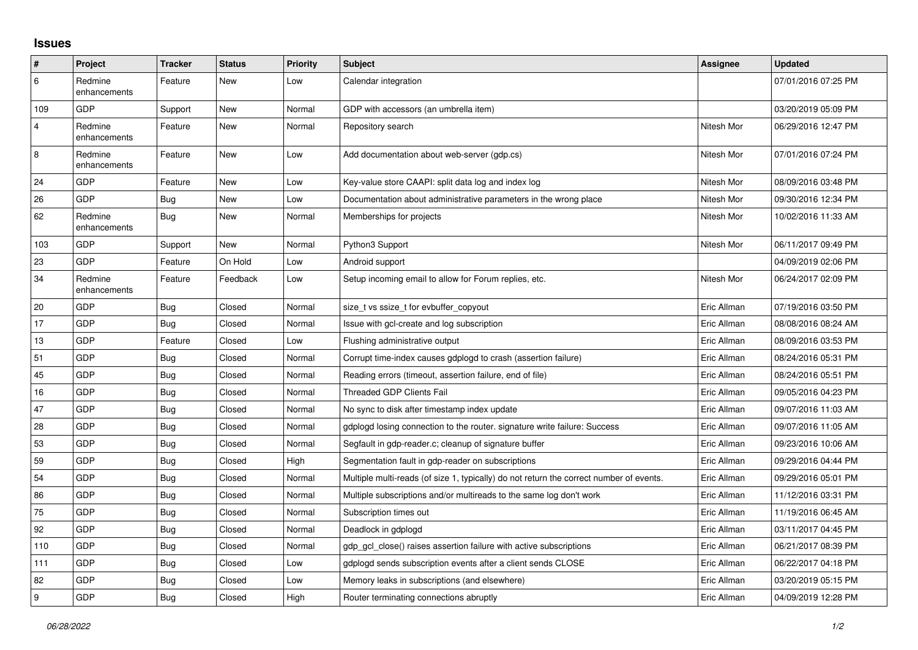## **Issues**

| $\vert$ #               | Project                 | <b>Tracker</b> | <b>Status</b> | <b>Priority</b> | <b>Subject</b>                                                                          | <b>Assignee</b> | <b>Updated</b>      |
|-------------------------|-------------------------|----------------|---------------|-----------------|-----------------------------------------------------------------------------------------|-----------------|---------------------|
| 6                       | Redmine<br>enhancements | Feature        | New           | Low             | Calendar integration                                                                    |                 | 07/01/2016 07:25 PM |
| 109                     | <b>GDP</b>              | Support        | New           | Normal          | GDP with accessors (an umbrella item)                                                   |                 | 03/20/2019 05:09 PM |
| $\overline{\mathbf{4}}$ | Redmine<br>enhancements | Feature        | New           | Normal          | Repository search                                                                       | Nitesh Mor      | 06/29/2016 12:47 PM |
| 8                       | Redmine<br>enhancements | Feature        | New           | Low             | Add documentation about web-server (gdp.cs)                                             | Nitesh Mor      | 07/01/2016 07:24 PM |
| 24                      | <b>GDP</b>              | Feature        | <b>New</b>    | Low             | Key-value store CAAPI: split data log and index log                                     | Nitesh Mor      | 08/09/2016 03:48 PM |
| 26                      | <b>GDP</b>              | Bug            | <b>New</b>    | Low             | Documentation about administrative parameters in the wrong place                        | Nitesh Mor      | 09/30/2016 12:34 PM |
| 62                      | Redmine<br>enhancements | <b>Bug</b>     | New           | Normal          | Memberships for projects                                                                | Nitesh Mor      | 10/02/2016 11:33 AM |
| 103                     | GDP                     | Support        | New           | Normal          | Python3 Support                                                                         | Nitesh Mor      | 06/11/2017 09:49 PM |
| 23                      | GDP                     | Feature        | On Hold       | Low             | Android support                                                                         |                 | 04/09/2019 02:06 PM |
| 34                      | Redmine<br>enhancements | Feature        | Feedback      | Low             | Setup incoming email to allow for Forum replies, etc.                                   | Nitesh Mor      | 06/24/2017 02:09 PM |
| 20                      | <b>GDP</b>              | <b>Bug</b>     | Closed        | Normal          | size_t vs ssize_t for evbuffer_copyout                                                  | Eric Allman     | 07/19/2016 03:50 PM |
| $17$                    | GDP                     | <b>Bug</b>     | Closed        | Normal          | Issue with gcl-create and log subscription                                              | Eric Allman     | 08/08/2016 08:24 AM |
| 13                      | GDP                     | Feature        | Closed        | Low             | Flushing administrative output                                                          | Eric Allman     | 08/09/2016 03:53 PM |
| 51                      | <b>GDP</b>              | Bug            | Closed        | Normal          | Corrupt time-index causes gdplogd to crash (assertion failure)                          | Eric Allman     | 08/24/2016 05:31 PM |
| 45                      | GDP                     | <b>Bug</b>     | Closed        | Normal          | Reading errors (timeout, assertion failure, end of file)                                | Eric Allman     | 08/24/2016 05:51 PM |
| 16                      | GDP                     | <b>Bug</b>     | Closed        | Normal          | <b>Threaded GDP Clients Fail</b>                                                        | Eric Allman     | 09/05/2016 04:23 PM |
| 47                      | <b>GDP</b>              | Bug            | Closed        | Normal          | No sync to disk after timestamp index update                                            | Eric Allman     | 09/07/2016 11:03 AM |
| 28                      | GDP                     | <b>Bug</b>     | Closed        | Normal          | gdplogd losing connection to the router, signature write failure: Success               | Eric Allman     | 09/07/2016 11:05 AM |
| 53                      | GDP                     | Bug            | Closed        | Normal          | Segfault in gdp-reader.c; cleanup of signature buffer                                   | Eric Allman     | 09/23/2016 10:06 AM |
| 59                      | GDP                     | <b>Bug</b>     | Closed        | High            | Segmentation fault in gdp-reader on subscriptions                                       | Eric Allman     | 09/29/2016 04:44 PM |
| 54                      | GDP                     | Bug            | Closed        | Normal          | Multiple multi-reads (of size 1, typically) do not return the correct number of events. | Eric Allman     | 09/29/2016 05:01 PM |
| 86                      | GDP                     | <b>Bug</b>     | Closed        | Normal          | Multiple subscriptions and/or multireads to the same log don't work                     | Eric Allman     | 11/12/2016 03:31 PM |
| 75                      | GDP                     | <b>Bug</b>     | Closed        | Normal          | Subscription times out                                                                  | Eric Allman     | 11/19/2016 06:45 AM |
| 92                      | GDP                     | <b>Bug</b>     | Closed        | Normal          | Deadlock in gdplogd                                                                     | Eric Allman     | 03/11/2017 04:45 PM |
| 110                     | GDP                     | Bug            | Closed        | Normal          | gdp gcl close() raises assertion failure with active subscriptions                      | Eric Allman     | 06/21/2017 08:39 PM |
| 111                     | GDP                     | Bug            | Closed        | Low             | gdplogd sends subscription events after a client sends CLOSE                            | Eric Allman     | 06/22/2017 04:18 PM |
| 82                      | GDP                     | Bug            | Closed        | Low             | Memory leaks in subscriptions (and elsewhere)                                           | Eric Allman     | 03/20/2019 05:15 PM |
| 9                       | GDP                     | <b>Bug</b>     | Closed        | High            | Router terminating connections abruptly                                                 | Eric Allman     | 04/09/2019 12:28 PM |